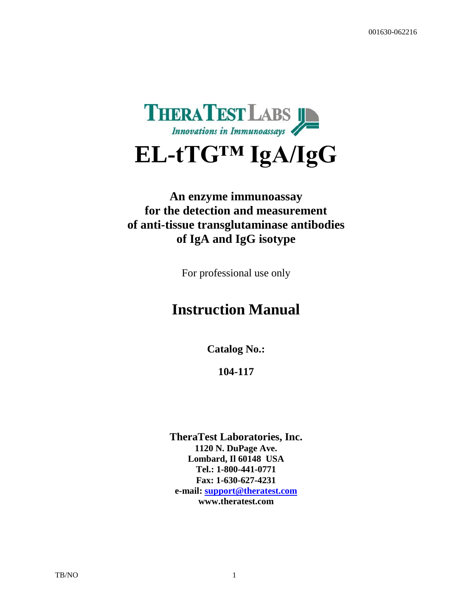

# **EL-tTG™ IgA/IgG**

### **An enzyme immunoassay for the detection and measurement of anti-tissue transglutaminase antibodies of IgA and IgG isotype**

For professional use only

## **Instruction Manual**

**Catalog No.:**

**104-117**

**TheraTest Laboratories, Inc. 1120 N. DuPage Ave. Lombard, Il 60148 USA Tel.: 1-800-441-0771 Fax: 1-630-627-4231 e-mail: [support@theratest.com](mailto:support@theratest.com) www.theratest.com**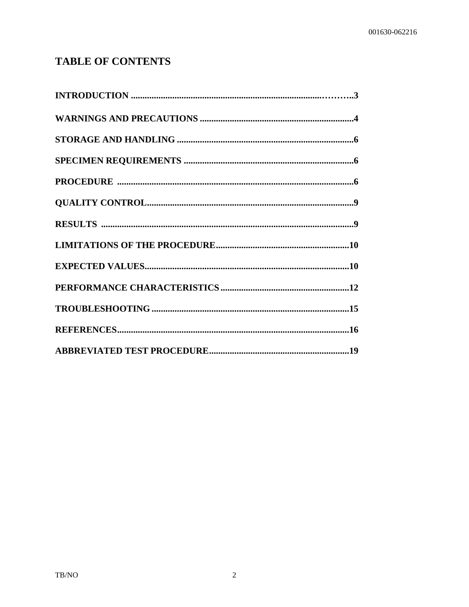### **TABLE OF CONTENTS**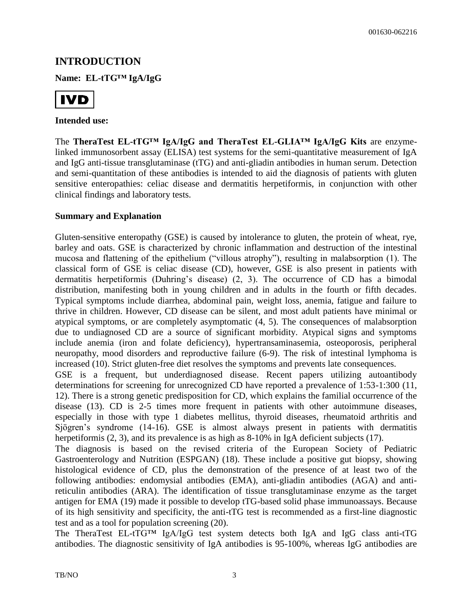#### **INTRODUCTION**

**Name: EL-tTG™ IgA/IgG**



#### **Intended use:**

The **TheraTest EL-tTG™ IgA/IgG and TheraTest EL-GLIA™ IgA/IgG Kits** are enzymelinked immunosorbent assay (ELISA) test systems for the semi-quantitative measurement of IgA and IgG anti-tissue transglutaminase (tTG) and anti-gliadin antibodies in human serum. Detection and semi-quantitation of these antibodies is intended to aid the diagnosis of patients with gluten sensitive enteropathies: celiac disease and dermatitis herpetiformis, in conjunction with other clinical findings and laboratory tests.

#### **Summary and Explanation**

Gluten-sensitive enteropathy (GSE) is caused by intolerance to gluten, the protein of wheat, rye, barley and oats. GSE is characterized by chronic inflammation and destruction of the intestinal mucosa and flattening of the epithelium ("villous atrophy"), resulting in malabsorption (1). The classical form of GSE is celiac disease (CD), however, GSE is also present in patients with dermatitis herpetiformis (Duhring's disease) (2, 3). The occurrence of CD has a bimodal distribution, manifesting both in young children and in adults in the fourth or fifth decades. Typical symptoms include diarrhea, abdominal pain, weight loss, anemia, fatigue and failure to thrive in children. However, CD disease can be silent, and most adult patients have minimal or atypical symptoms, or are completely asymptomatic (4, 5). The consequences of malabsorption due to undiagnosed CD are a source of significant morbidity. Atypical signs and symptoms include anemia (iron and folate deficiency), hypertransaminasemia, osteoporosis, peripheral neuropathy, mood disorders and reproductive failure (6-9). The risk of intestinal lymphoma is increased (10). Strict gluten-free diet resolves the symptoms and prevents late consequences.

GSE is a frequent, but underdiagnosed disease. Recent papers utilizing autoantibody determinations for screening for unrecognized CD have reported a prevalence of 1:53-1:300 (11, 12). There is a strong genetic predisposition for CD, which explains the familial occurrence of the disease (13). CD is 2-5 times more frequent in patients with other autoimmune diseases, especially in those with type 1 diabetes mellitus, thyroid diseases, rheumatoid arthritis and Sjögren's syndrome (14-16). GSE is almost always present in patients with dermatitis herpetiformis (2, 3), and its prevalence is as high as 8-10% in IgA deficient subjects (17).

The diagnosis is based on the revised criteria of the European Society of Pediatric Gastroenterology and Nutrition (ESPGAN) (18). These include a positive gut biopsy, showing histological evidence of CD, plus the demonstration of the presence of at least two of the following antibodies: endomysial antibodies (EMA), anti-gliadin antibodies (AGA) and antireticulin antibodies (ARA). The identification of tissue transglutaminase enzyme as the target antigen for EMA (19) made it possible to develop tTG-based solid phase immunoassays. Because of its high sensitivity and specificity, the anti-tTG test is recommended as a first-line diagnostic test and as a tool for population screening (20).

The TheraTest EL-tTG™ IgA/IgG test system detects both IgA and IgG class anti-tTG antibodies. The diagnostic sensitivity of IgA antibodies is 95-100%, whereas IgG antibodies are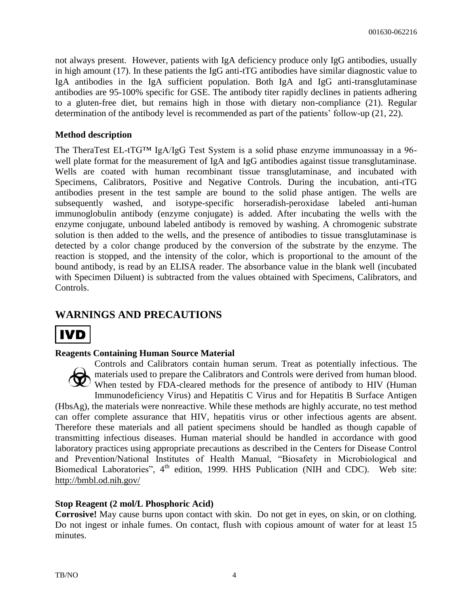not always present. However, patients with IgA deficiency produce only IgG antibodies, usually in high amount (17). In these patients the IgG anti-tTG antibodies have similar diagnostic value to IgA antibodies in the IgA sufficient population. Both IgA and IgG anti-transglutaminase antibodies are 95-100% specific for GSE. The antibody titer rapidly declines in patients adhering to a gluten-free diet, but remains high in those with dietary non-compliance (21). Regular determination of the antibody level is recommended as part of the patients' follow-up (21, 22).

#### **Method description**

The TheraTest EL-tTG™ IgA/IgG Test System is a solid phase enzyme immunoassay in a 96 well plate format for the measurement of IgA and IgG antibodies against tissue transglutaminase. Wells are coated with human recombinant tissue transglutaminase, and incubated with Specimens, Calibrators, Positive and Negative Controls. During the incubation, anti-tTG antibodies present in the test sample are bound to the solid phase antigen. The wells are subsequently washed, and isotype-specific horseradish-peroxidase labeled anti-human immunoglobulin antibody (enzyme conjugate) is added. After incubating the wells with the enzyme conjugate, unbound labeled antibody is removed by washing. A chromogenic substrate solution is then added to the wells, and the presence of antibodies to tissue transglutaminase is detected by a color change produced by the conversion of the substrate by the enzyme. The reaction is stopped, and the intensity of the color, which is proportional to the amount of the bound antibody, is read by an ELISA reader. The absorbance value in the blank well (incubated with Specimen Diluent) is subtracted from the values obtained with Specimens, Calibrators, and Controls.

#### **WARNINGS AND PRECAUTIONS**



#### **Reagents Containing Human Source Material**

Controls and Calibrators contain human serum. Treat as potentially infectious. The materials used to prepare the Calibrators and Controls were derived from human blood. When tested by FDA-cleared methods for the presence of antibody to HIV (Human Immunodeficiency Virus) and Hepatitis C Virus and for Hepatitis B Surface Antigen (HbsAg), the materials were nonreactive. While these methods are highly accurate, no test method can offer complete assurance that HIV, hepatitis virus or other infectious agents are absent. Therefore these materials and all patient specimens should be handled as though capable of transmitting infectious diseases. Human material should be handled in accordance with good laboratory practices using appropriate precautions as described in the Centers for Disease Control and Prevention/National Institutes of Health Manual, "Biosafety in Microbiological and Biomedical Laboratories", 4<sup>th</sup> edition, 1999. HHS Publication (NIH and CDC). Web site: <http://bmbl.od.nih.gov/>

#### **Stop Reagent (2 mol/L Phosphoric Acid)**

**Corrosive!** May cause burns upon contact with skin. Do not get in eyes, on skin, or on clothing. Do not ingest or inhale fumes. On contact, flush with copious amount of water for at least 15 minutes.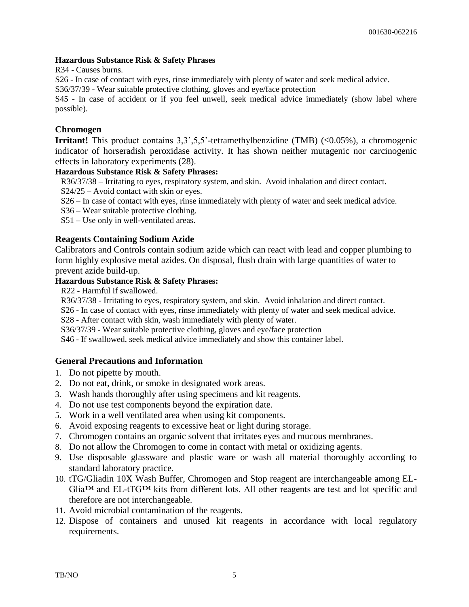#### **Hazardous Substance Risk & Safety Phrases**

R34 - Causes burns.

S26 - In case of contact with eyes, rinse immediately with plenty of water and seek medical advice.

S36/37/39 - Wear suitable protective clothing, gloves and eye/face protection

S45 - In case of accident or if you feel unwell, seek medical advice immediately (show label where possible).

#### **Chromogen**

**Irritant!** This product contains  $3,3,5,5$ '-tetramethylbenzidine (TMB) ( $\leq 0.05\%$ ), a chromogenic indicator of horseradish peroxidase activity. It has shown neither mutagenic nor carcinogenic effects in laboratory experiments (28).

#### **Hazardous Substance Risk & Safety Phrases:**

R36/37/38 – Irritating to eyes, respiratory system, and skin. Avoid inhalation and direct contact.

S24/25 – Avoid contact with skin or eyes.

S26 – In case of contact with eyes, rinse immediately with plenty of water and seek medical advice.

S36 – Wear suitable protective clothing.

S51 – Use only in well-ventilated areas.

#### **Reagents Containing Sodium Azide**

Calibrators and Controls contain sodium azide which can react with lead and copper plumbing to form highly explosive metal azides. On disposal, flush drain with large quantities of water to prevent azide build-up.

#### **Hazardous Substance Risk & Safety Phrases:**

R22 - Harmful if swallowed.

R36/37/38 - Irritating to eyes, respiratory system, and skin. Avoid inhalation and direct contact.

S26 - In case of contact with eyes, rinse immediately with plenty of water and seek medical advice.

S28 - After contact with skin, wash immediately with plenty of water.

S36/37/39 - Wear suitable protective clothing, gloves and eye/face protection

S46 - If swallowed, seek medical advice immediately and show this container label.

#### **General Precautions and Information**

- 1. Do not pipette by mouth.
- 2. Do not eat, drink, or smoke in designated work areas.
- 3. Wash hands thoroughly after using specimens and kit reagents.
- 4. Do not use test components beyond the expiration date.
- 5. Work in a well ventilated area when using kit components.
- 6. Avoid exposing reagents to excessive heat or light during storage.
- 7. Chromogen contains an organic solvent that irritates eyes and mucous membranes.
- 8. Do not allow the Chromogen to come in contact with metal or oxidizing agents.
- 9. Use disposable glassware and plastic ware or wash all material thoroughly according to standard laboratory practice.
- 10. tTG/Gliadin 10X Wash Buffer, Chromogen and Stop reagent are interchangeable among EL-Glia™ and EL-tTG™ kits from different lots. All other reagents are test and lot specific and therefore are not interchangeable.
- 11. Avoid microbial contamination of the reagents.
- 12. Dispose of containers and unused kit reagents in accordance with local regulatory requirements.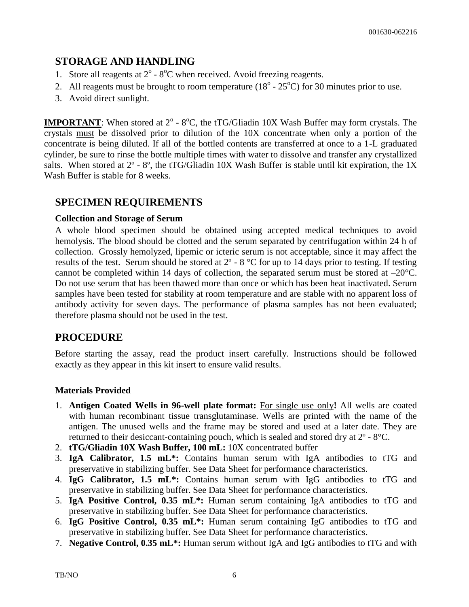#### **STORAGE AND HANDLING**

- 1. Store all reagents at  $2^{\circ}$   $8^{\circ}$ C when received. Avoid freezing reagents.
- 2. All reagents must be brought to room temperature  $(18^{\circ} 25^{\circ}C)$  for 30 minutes prior to use.
- 3. Avoid direct sunlight.

**IMPORTANT**: When stored at  $2^{\circ}$  -  $8^{\circ}$ C, the tTG/Gliadin 10X Wash Buffer may form crystals. The crystals must be dissolved prior to dilution of the 10X concentrate when only a portion of the concentrate is being diluted. If all of the bottled contents are transferred at once to a 1-L graduated cylinder, be sure to rinse the bottle multiple times with water to dissolve and transfer any crystallized salts. When stored at  $2^{\circ}$  -  $8^{\circ}$ , the tTG/Gliadin 10X Wash Buffer is stable until kit expiration, the 1X Wash Buffer is stable for 8 weeks.

#### **SPECIMEN REQUIREMENTS**

#### **Collection and Storage of Serum**

A whole blood specimen should be obtained using accepted medical techniques to avoid hemolysis. The blood should be clotted and the serum separated by centrifugation within 24 h of collection. Grossly hemolyzed, lipemic or icteric serum is not acceptable, since it may affect the results of the test. Serum should be stored at 2º - 8 °C for up to 14 days prior to testing. If testing cannot be completed within 14 days of collection, the separated serum must be stored at –20°C. Do not use serum that has been thawed more than once or which has been heat inactivated. Serum samples have been tested for stability at room temperature and are stable with no apparent loss of antibody activity for seven days. The performance of plasma samples has not been evaluated; therefore plasma should not be used in the test.

#### **PROCEDURE**

Before starting the assay, read the product insert carefully. Instructions should be followed exactly as they appear in this kit insert to ensure valid results.

#### **Materials Provided**

- 1. **Antigen Coated Wells in 96-well plate format:** For single use only**!** All wells are coated with human recombinant tissue transglutaminase. Wells are printed with the name of the antigen. The unused wells and the frame may be stored and used at a later date. They are returned to their desiccant-containing pouch, which is sealed and stored dry at 2º - 8°C.
- 2. **tTG/Gliadin 10X Wash Buffer, 100 mL:** 10X concentrated buffer
- 3. **IgA Calibrator, 1.5 mL\*:** Contains human serum with IgA antibodies to tTG and preservative in stabilizing buffer. See Data Sheet for performance characteristics.
- 4. **IgG Calibrator, 1.5 mL\*:** Contains human serum with IgG antibodies to tTG and preservative in stabilizing buffer. See Data Sheet for performance characteristics.
- 5. **IgA Positive Control, 0.35 mL\*:** Human serum containing IgA antibodies to tTG and preservative in stabilizing buffer. See Data Sheet for performance characteristics.
- 6. **IgG Positive Control, 0.35 mL\*:** Human serum containing IgG antibodies to tTG and preservative in stabilizing buffer. See Data Sheet for performance characteristics.
- 7. **Negative Control, 0.35 mL\*:** Human serum without IgA and IgG antibodies to tTG and with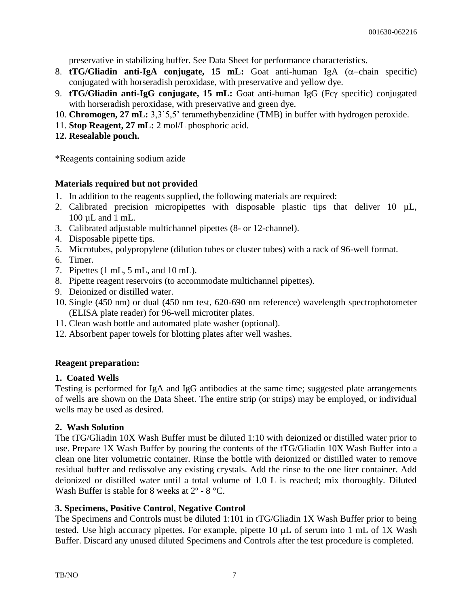preservative in stabilizing buffer. See Data Sheet for performance characteristics.

- 8. **tTG/Gliadin anti-IgA conjugate, 15 mL:** Goat anti-human IgA  $(\alpha$ -chain specific) conjugated with horseradish peroxidase, with preservative and yellow dye.
- 9. **tTG/Gliadin anti-IgG conjugate, 15 mL:** Goat anti-human IgG (Fcy specific) conjugated with horseradish peroxidase, with preservative and green dye.
- 10. **Chromogen, 27 mL:** 3,3'5,5' teramethybenzidine (TMB) in buffer with hydrogen peroxide.
- 11. **Stop Reagent, 27 mL:** 2 mol/L phosphoric acid.
- **12. Resealable pouch.**

\*Reagents containing sodium azide

#### **Materials required but not provided**

- 1. In addition to the reagents supplied, the following materials are required:
- 2. Calibrated precision micropipettes with disposable plastic tips that deliver 10  $\mu$ L, 100 µL and 1 mL.
- 3. Calibrated adjustable multichannel pipettes (8- or 12-channel).
- 4. Disposable pipette tips.
- 5. Microtubes, polypropylene (dilution tubes or cluster tubes) with a rack of 96-well format.
- 6. Timer.
- 7. Pipettes (1 mL, 5 mL, and 10 mL).
- 8. Pipette reagent reservoirs (to accommodate multichannel pipettes).
- 9. Deionized or distilled water.
- 10. Single (450 nm) or dual (450 nm test, 620-690 nm reference) wavelength spectrophotometer (ELISA plate reader) for 96-well microtiter plates.
- 11. Clean wash bottle and automated plate washer (optional).
- 12. Absorbent paper towels for blotting plates after well washes.

#### **Reagent preparation:**

#### **1. Coated Wells**

Testing is performed for IgA and IgG antibodies at the same time; suggested plate arrangements of wells are shown on the Data Sheet. The entire strip (or strips) may be employed, or individual wells may be used as desired.

#### **2. Wash Solution**

The tTG/Gliadin 10X Wash Buffer must be diluted 1:10 with deionized or distilled water prior to use. Prepare 1X Wash Buffer by pouring the contents of the tTG/Gliadin 10X Wash Buffer into a clean one liter volumetric container. Rinse the bottle with deionized or distilled water to remove residual buffer and redissolve any existing crystals. Add the rinse to the one liter container. Add deionized or distilled water until a total volume of 1.0 L is reached; mix thoroughly. Diluted Wash Buffer is stable for 8 weeks at  $2^{\circ}$  - 8 °C.

#### **3. Specimens, Positive Control**, **Negative Control**

The Specimens and Controls must be diluted 1:101 in tTG/Gliadin 1X Wash Buffer prior to being tested. Use high accuracy pipettes. For example, pipette  $10 \mu L$  of serum into 1 mL of 1X Wash Buffer. Discard any unused diluted Specimens and Controls after the test procedure is completed.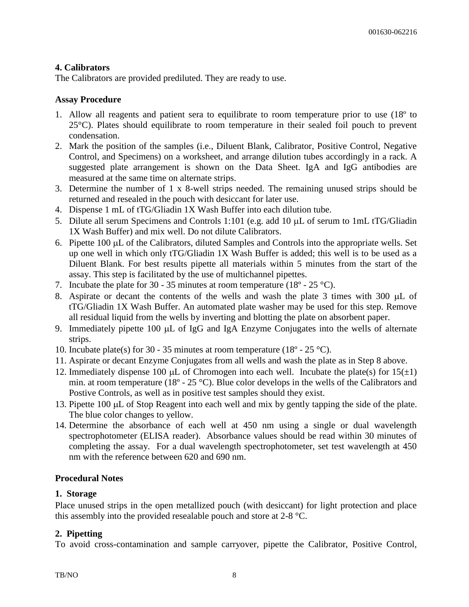#### **4. Calibrators**

The Calibrators are provided prediluted. They are ready to use.

#### **Assay Procedure**

- 1. Allow all reagents and patient sera to equilibrate to room temperature prior to use (18º to 25°C). Plates should equilibrate to room temperature in their sealed foil pouch to prevent condensation.
- 2. Mark the position of the samples (i.e., Diluent Blank, Calibrator, Positive Control, Negative Control, and Specimens) on a worksheet, and arrange dilution tubes accordingly in a rack. A suggested plate arrangement is shown on the Data Sheet. IgA and IgG antibodies are measured at the same time on alternate strips.
- 3. Determine the number of 1 x 8-well strips needed. The remaining unused strips should be returned and resealed in the pouch with desiccant for later use.
- 4. Dispense 1 mL of tTG/Gliadin 1X Wash Buffer into each dilution tube.
- 5. Dilute all serum Specimens and Controls 1:101 (e.g. add 10  $\mu$ L of serum to 1mL tTG/Gliadin 1X Wash Buffer) and mix well. Do not dilute Calibrators.
- 6. Pipette 100 µL of the Calibrators, diluted Samples and Controls into the appropriate wells. Set up one well in which only tTG/Gliadin 1X Wash Buffer is added; this well is to be used as a Diluent Blank. For best results pipette all materials within 5 minutes from the start of the assay. This step is facilitated by the use of multichannel pipettes.
- 7. Incubate the plate for 30 35 minutes at room temperature (18 $\degree$  25  $\degree$ C).
- 8. Aspirate or decant the contents of the wells and wash the plate 3 times with 300  $\mu$ L of tTG/Gliadin 1X Wash Buffer. An automated plate washer may be used for this step. Remove all residual liquid from the wells by inverting and blotting the plate on absorbent paper.
- 9. Immediately pipette 100 µL of IgG and IgA Enzyme Conjugates into the wells of alternate strips.
- 10. Incubate plate(s) for 30 35 minutes at room temperature (18 $\degree$  25  $\degree$ C).
- 11. Aspirate or decant Enzyme Conjugates from all wells and wash the plate as in Step 8 above.
- 12. Immediately dispense 100  $\mu$ L of Chromogen into each well. Incubate the plate(s) for 15( $\pm$ 1) min. at room temperature (18º - 25 °C). Blue color develops in the wells of the Calibrators and Postive Controls, as well as in positive test samples should they exist.
- 13. Pipette 100 µL of Stop Reagent into each well and mix by gently tapping the side of the plate. The blue color changes to yellow.
- 14. Determine the absorbance of each well at 450 nm using a single or dual wavelength spectrophotometer (ELISA reader). Absorbance values should be read within 30 minutes of completing the assay. For a dual wavelength spectrophotometer, set test wavelength at 450 nm with the reference between 620 and 690 nm.

#### **Procedural Notes**

#### **1. Storage**

Place unused strips in the open metallized pouch (with desiccant) for light protection and place this assembly into the provided resealable pouch and store at 2-8 °C.

#### **2. Pipetting**

To avoid cross-contamination and sample carryover, pipette the Calibrator, Positive Control,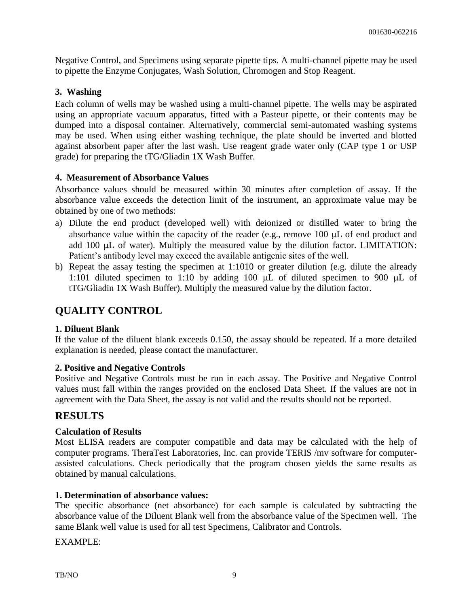Negative Control, and Specimens using separate pipette tips. A multi-channel pipette may be used to pipette the Enzyme Conjugates, Wash Solution, Chromogen and Stop Reagent.

#### **3. Washing**

Each column of wells may be washed using a multi-channel pipette. The wells may be aspirated using an appropriate vacuum apparatus, fitted with a Pasteur pipette, or their contents may be dumped into a disposal container. Alternatively, commercial semi-automated washing systems may be used. When using either washing technique, the plate should be inverted and blotted against absorbent paper after the last wash. Use reagent grade water only (CAP type 1 or USP grade) for preparing the tTG/Gliadin 1X Wash Buffer.

#### **4. Measurement of Absorbance Values**

Absorbance values should be measured within 30 minutes after completion of assay. If the absorbance value exceeds the detection limit of the instrument, an approximate value may be obtained by one of two methods:

- a) Dilute the end product (developed well) with deionized or distilled water to bring the absorbance value within the capacity of the reader (e.g., remove  $100 \mu L$  of end product and add  $100 \mu L$  of water). Multiply the measured value by the dilution factor. LIMITATION: Patient's antibody level may exceed the available antigenic sites of the well.
- b) Repeat the assay testing the specimen at 1:1010 or greater dilution (e.g. dilute the already 1:101 diluted specimen to 1:10 by adding 100  $\mu$ L of diluted specimen to 900  $\mu$ L of tTG/Gliadin 1X Wash Buffer). Multiply the measured value by the dilution factor.

#### **QUALITY CONTROL**

#### **1. Diluent Blank**

If the value of the diluent blank exceeds 0.150, the assay should be repeated. If a more detailed explanation is needed, please contact the manufacturer.

#### **2. Positive and Negative Controls**

Positive and Negative Controls must be run in each assay. The Positive and Negative Control values must fall within the ranges provided on the enclosed Data Sheet. If the values are not in agreement with the Data Sheet, the assay is not valid and the results should not be reported.

#### **RESULTS**

#### **Calculation of Results**

Most ELISA readers are computer compatible and data may be calculated with the help of computer programs. TheraTest Laboratories, Inc. can provide TERIS /mv software for computerassisted calculations. Check periodically that the program chosen yields the same results as obtained by manual calculations.

#### **1. Determination of absorbance values:**

The specific absorbance (net absorbance) for each sample is calculated by subtracting the absorbance value of the Diluent Blank well from the absorbance value of the Specimen well. The same Blank well value is used for all test Specimens, Calibrator and Controls.

EXAMPLE: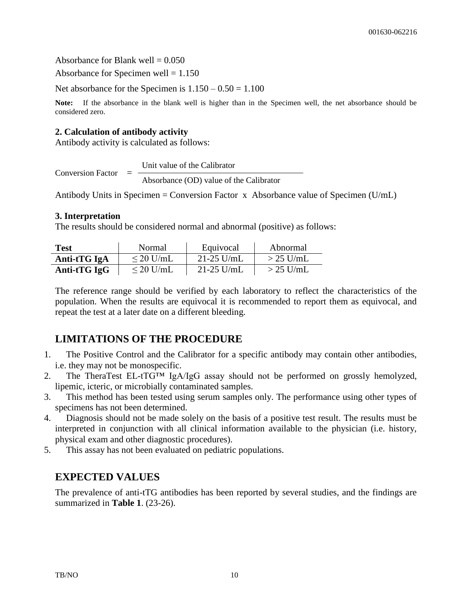Absorbance for Blank well  $= 0.050$ 

Absorbance for Specimen well  $= 1.150$ 

Net absorbance for the Specimen is  $1.150 - 0.50 = 1.100$ 

**Note:** If the absorbance in the blank well is higher than in the Specimen well, the net absorbance should be considered zero.

#### **2. Calculation of antibody activity**

Antibody activity is calculated as follows:

Conversion Factor  $=$ Unit value of the Calibrator Absorbance (OD) value of the Calibrator

Antibody Units in Specimen = Conversion Factor x Absorbance value of Specimen (U/mL)

#### **3. Interpretation**

The results should be considered normal and abnormal (positive) as follows:

| <b>Test</b>    | Normal         | Equivocal    | Abnormal    |
|----------------|----------------|--------------|-------------|
| Anti-tTG IgA   | $\leq$ 20 U/mL | $21-25$ U/mL | $>$ 25 U/mL |
| Anti-t $TGIgG$ | $\leq$ 20 U/mL | $21-25$ U/mL | $>$ 25 U/mL |

The reference range should be verified by each laboratory to reflect the characteristics of the population. When the results are equivocal it is recommended to report them as equivocal, and repeat the test at a later date on a different bleeding.

### **LIMITATIONS OF THE PROCEDURE**

- 1. The Positive Control and the Calibrator for a specific antibody may contain other antibodies, i.e. they may not be monospecific.
- 2. The TheraTest EL-tTG™ IgA/IgG assay should not be performed on grossly hemolyzed, lipemic, icteric, or microbially contaminated samples.
- 3. This method has been tested using serum samples only. The performance using other types of specimens has not been determined.
- 4. Diagnosis should not be made solely on the basis of a positive test result. The results must be interpreted in conjunction with all clinical information available to the physician (i.e. history, physical exam and other diagnostic procedures).
- 5. This assay has not been evaluated on pediatric populations.

#### **EXPECTED VALUES**

The prevalence of anti-tTG antibodies has been reported by several studies, and the findings are summarized in **Table 1**. (23-26).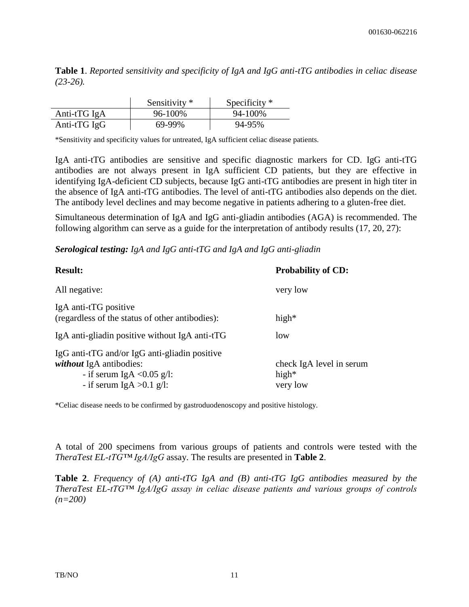**Table 1**. *Reported sensitivity and specificity of IgA and IgG anti-tTG antibodies in celiac disease (23-26).*

|                   | Sensitivity * | Specificity $*$ |
|-------------------|---------------|-----------------|
| Anti-t $TG$ IgA   | 96-100%       | 94-100%         |
| Anti-t $TG \lg G$ | 69-99%        | 94-95%          |

\*Sensitivity and specificity values for untreated, IgA sufficient celiac disease patients.

IgA anti-tTG antibodies are sensitive and specific diagnostic markers for CD. IgG anti-tTG antibodies are not always present in IgA sufficient CD patients, but they are effective in identifying IgA-deficient CD subjects, because IgG anti-tTG antibodies are present in high titer in the absence of IgA anti-tTG antibodies. The level of anti-tTG antibodies also depends on the diet. The antibody level declines and may become negative in patients adhering to a gluten-free diet.

Simultaneous determination of IgA and IgG anti-gliadin antibodies (AGA) is recommended. The following algorithm can serve as a guide for the interpretation of antibody results (17, 20, 27):

*Serological testing: IgA and IgG anti-tTG and IgA and IgG anti-gliadin* 

| <b>Result:</b>                                                                                                                                | <b>Probability of CD:</b>                        |
|-----------------------------------------------------------------------------------------------------------------------------------------------|--------------------------------------------------|
| All negative:                                                                                                                                 | very low                                         |
| IgA anti-tTG positive<br>(regardless of the status of other antibodies):                                                                      | high $*$                                         |
| IgA anti-gliadin positive without IgA anti-tTG                                                                                                | low                                              |
| IgG anti-tTG and/or IgG anti-gliadin positive<br><i>without</i> IgA antibodies:<br>- if serum IgA < $0.05$ g/l:<br>- if serum IgA $>0.1$ g/l: | check IgA level in serum<br>high $*$<br>very low |

\*Celiac disease needs to be confirmed by gastroduodenoscopy and positive histology.

A total of 200 specimens from various groups of patients and controls were tested with the *TheraTest EL-tTG™ IgA/IgG* assay. The results are presented in **Table 2**.

**Table 2**. *Frequency of (A) anti-tTG IgA and (B) anti-tTG IgG antibodies measured by the TheraTest EL-tTG™ IgA/IgG assay in celiac disease patients and various groups of controls (n=200)*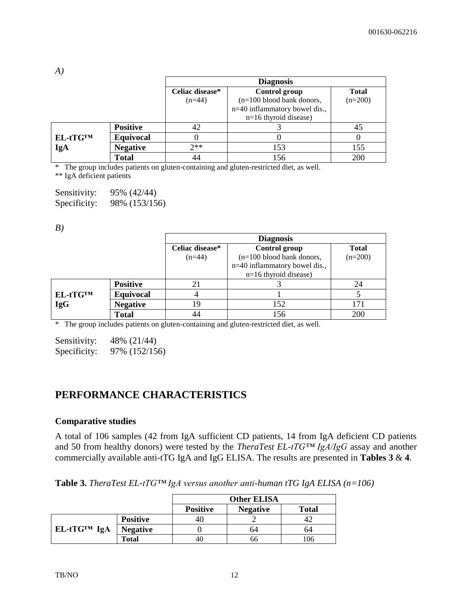|          |                  |                 | <b>Diagnosis</b>                |              |
|----------|------------------|-----------------|---------------------------------|--------------|
|          |                  | Celiac disease* | Control group                   | <b>Total</b> |
|          |                  | $(n=44)$        | $(n=100$ blood bank donors,     | $(n=200)$    |
|          |                  |                 | $n=40$ inflammatory bowel dis., |              |
|          |                  |                 | $n=16$ thyroid disease)         |              |
|          | <b>Positive</b>  | 42              |                                 | 45           |
| EL-tTGTM | <b>Equivocal</b> | O               |                                 |              |
| IgA      | <b>Negative</b>  | $2**$           | 153                             | 155          |
|          | <b>Total</b>     | 44              | 156                             | 200          |

\* The group includes patients on gluten-containing and gluten-restricted diet, as well.

\*\* IgA deficient patients

| Sensitivity: | 95% (42/44)   |
|--------------|---------------|
| Specificity: | 98% (153/156) |

*B)*

*A)*

|                               |                 | <b>Diagnosis</b>               |              |
|-------------------------------|-----------------|--------------------------------|--------------|
|                               | Celiac disease* | Control group                  | <b>Total</b> |
|                               | $(n=44)$        | $(n=100$ blood bank donors,    | $(n=200)$    |
|                               |                 | n=40 inflammatory bowel dis.,  |              |
|                               |                 | $n=16$ thyroid disease)        |              |
| <b>Positive</b>               | 21              |                                | 24           |
| <b>Equivocal</b><br>EL-tTGTM  | 4               |                                |              |
| <b>IgG</b><br><b>Negative</b> | 19              | 152                            | 171          |
| <b>Total</b>                  | 44              | 156<br>$\cdot$ $\cdot$ $\cdot$ | 200          |

\* The group includes patients on gluten-containing and gluten-restricted diet, as well.

Sensitivity: 48% (21/44) Specificity: 97% (152/156)

#### **PERFORMANCE CHARACTERISTICS**

#### **Comparative studies**

A total of 106 samples (42 from IgA sufficient CD patients, 14 from IgA deficient CD patients and 50 from healthy donors) were tested by the *TheraTest EL-tTG™ IgA/IgG* assay and another commercially available anti-tTG IgA and IgG ELISA. The results are presented in **Tables 3** & **4**.

**Table 3.** *TheraTest EL-tTG™ IgA versus another anti-human tTG IgA ELISA (n=106)*

|             |                 |                 | Other ELISA     |              |
|-------------|-----------------|-----------------|-----------------|--------------|
|             |                 | <b>Positive</b> | <b>Negative</b> | <b>Total</b> |
|             | <b>Positive</b> | 4U              |                 |              |
| EL-tTG™ IgA | <b>Negative</b> |                 | 64              | 64           |
|             | <b>Total</b>    | 40              | ხხ              | 106          |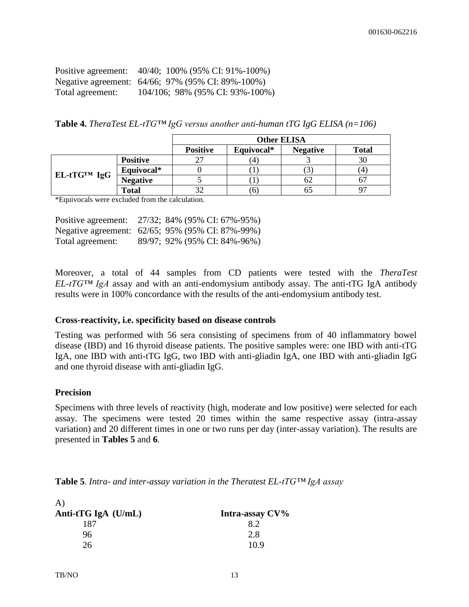| Positive agreement: | 40/40; 100% (95% CI: 91%-100%)                    |
|---------------------|---------------------------------------------------|
|                     | Negative agreement: 64/66; 97% (95% CI: 89%-100%) |
| Total agreement:    | 104/106; 98% (95% CI: 93%-100%)                   |

**Table 4.** *TheraTest EL-tTG™ IgG versus another anti-human tTG IgG ELISA (n=106)*

|             |                 |                 |            | <b>Other ELISA</b> |              |
|-------------|-----------------|-----------------|------------|--------------------|--------------|
|             |                 | <b>Positive</b> | Equivocal* | <b>Negative</b>    | <b>Total</b> |
|             | <b>Positive</b> |                 | 4          |                    | 30           |
| EL-tTG™ IgG | Equivocal*      |                 |            |                    | (4           |
|             | <b>Negative</b> |                 |            | ΩZ                 |              |
|             | Total           |                 |            |                    |              |

\*Equivocals were excluded from the calculation.

| Positive agreement: | 27/32; 84% (95% CI: 67%-95%)                     |  |
|---------------------|--------------------------------------------------|--|
|                     | Negative agreement: 62/65; 95% (95% CI: 87%-99%) |  |
| Total agreement:    | 89/97; 92% (95% CI: 84%-96%)                     |  |

Moreover, a total of 44 samples from CD patients were tested with the *TheraTest EL-tTG™ IgA* assay and with an anti-endomysium antibody assay. The anti-tTG IgA antibody results were in 100% concordance with the results of the anti-endomysium antibody test.

#### **Cross-reactivity, i.e. specificity based on disease controls**

Testing was performed with 56 sera consisting of specimens from of 40 inflammatory bowel disease (IBD) and 16 thyroid disease patients. The positive samples were: one IBD with anti-tTG IgA, one IBD with anti-tTG IgG, two IBD with anti-gliadin IgA, one IBD with anti-gliadin IgG and one thyroid disease with anti-gliadin IgG.

#### **Precision**

Specimens with three levels of reactivity (high, moderate and low positive) were selected for each assay. The specimens were tested 20 times within the same respective assay (intra-assay variation) and 20 different times in one or two runs per day (inter-assay variation). The results are presented in **Tables 5** and **6**.

| <b>Table 5.</b> Intra- and inter-assay variation in the Theratest $EL$ -tTGTM IgA assay |
|-----------------------------------------------------------------------------------------|
|-----------------------------------------------------------------------------------------|

| $\bf{A}$              |                 |
|-----------------------|-----------------|
| Anti-tTG IgA $(U/mL)$ | Intra-assay CV% |
| 187                   | 82              |
| 96                    | 2.8             |
| 26                    | 10.9            |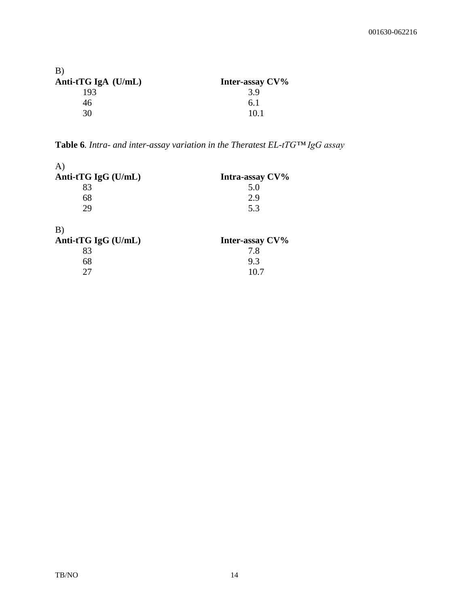| B)                    |                 |
|-----------------------|-----------------|
| Anti-tTG IgA $(U/mL)$ | Inter-assay CV% |
| 193                   | 3.9             |
| 46                    | 6.1             |
| 30                    | 10 1            |

**Table 6***. Intra- and inter-assay variation in the Theratest EL-tTG™ IgG assay*

| $\mathbf{A}$        |                 |
|---------------------|-----------------|
| Anti-tTG IgG (U/mL) | Intra-assay CV% |
| 83                  | 5.0             |
| 68                  | 2.9             |
| 29                  | 5.3             |
| B)                  |                 |
| Anti-tTG IgG (U/mL) | Inter-assay CV% |
| 83                  | 7.8             |
| 68                  | 9.3             |
| 27                  | 10.7            |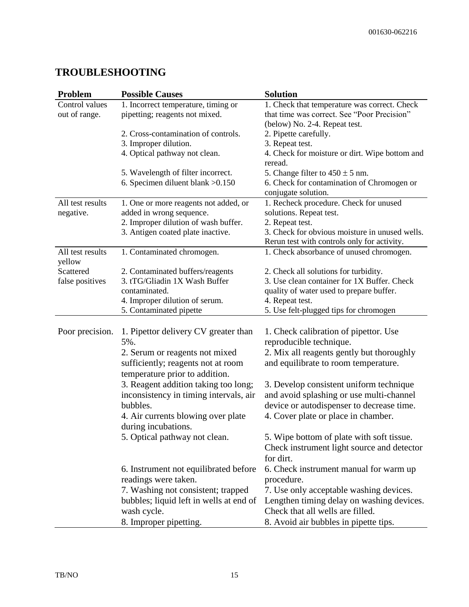### **TROUBLESHOOTING**

| Problem                    | <b>Possible Causes</b>                                               | <b>Solution</b>                                                   |
|----------------------------|----------------------------------------------------------------------|-------------------------------------------------------------------|
| Control values             | 1. Incorrect temperature, timing or                                  | 1. Check that temperature was correct. Check                      |
| out of range.              | pipetting; reagents not mixed.                                       | that time was correct. See "Poor Precision"                       |
|                            |                                                                      | (below) No. 2-4. Repeat test.                                     |
|                            | 2. Cross-contamination of controls.                                  | 2. Pipette carefully.                                             |
|                            | 3. Improper dilution.                                                | 3. Repeat test.                                                   |
|                            | 4. Optical pathway not clean.                                        | 4. Check for moisture or dirt. Wipe bottom and<br>reread.         |
|                            | 5. Wavelength of filter incorrect.                                   | 5. Change filter to $450 \pm 5$ nm.                               |
|                            | 6. Specimen diluent blank > 0.150                                    | 6. Check for contamination of Chromogen or<br>conjugate solution. |
| All test results           | 1. One or more reagents not added, or                                | 1. Recheck procedure. Check for unused                            |
| negative.                  | added in wrong sequence.                                             | solutions. Repeat test.                                           |
|                            | 2. Improper dilution of wash buffer.                                 | 2. Repeat test.                                                   |
|                            | 3. Antigen coated plate inactive.                                    | 3. Check for obvious moisture in unused wells.                    |
|                            |                                                                      | Rerun test with controls only for activity.                       |
| All test results<br>yellow | 1. Contaminated chromogen.                                           | 1. Check absorbance of unused chromogen.                          |
| Scattered                  | 2. Contaminated buffers/reagents                                     | 2. Check all solutions for turbidity.                             |
| false positives            | 3. tTG/Gliadin 1X Wash Buffer                                        | 3. Use clean container for 1X Buffer. Check                       |
|                            | contaminated.                                                        | quality of water used to prepare buffer.                          |
|                            | 4. Improper dilution of serum.                                       | 4. Repeat test.                                                   |
|                            | 5. Contaminated pipette                                              | 5. Use felt-plugged tips for chromogen                            |
|                            |                                                                      |                                                                   |
| Poor precision.            | 1. Pipettor delivery CV greater than                                 | 1. Check calibration of pipettor. Use                             |
|                            | 5%.                                                                  | reproducible technique.                                           |
|                            | 2. Serum or reagents not mixed                                       | 2. Mix all reagents gently but thoroughly                         |
|                            | sufficiently; reagents not at room<br>temperature prior to addition. | and equilibrate to room temperature.                              |
|                            | 3. Reagent addition taking too long;                                 | 3. Develop consistent uniform technique                           |
|                            | inconsistency in timing intervals, air                               | and avoid splashing or use multi-channel                          |
|                            | bubbles.                                                             | device or autodispenser to decrease time.                         |
|                            |                                                                      | 4. Cover plate or place in chamber.                               |
|                            | 4. Air currents blowing over plate                                   |                                                                   |
|                            | during incubations.                                                  |                                                                   |
|                            | 5. Optical pathway not clean.                                        | 5. Wipe bottom of plate with soft tissue.                         |
|                            |                                                                      | Check instrument light source and detector                        |
|                            |                                                                      | for dirt.                                                         |
|                            | 6. Instrument not equilibrated before                                | 6. Check instrument manual for warm up                            |
|                            | readings were taken.                                                 | procedure.                                                        |
|                            | 7. Washing not consistent; trapped                                   | 7. Use only acceptable washing devices.                           |
|                            | bubbles; liquid left in wells at end of                              | Lengthen timing delay on washing devices.                         |
|                            | wash cycle.                                                          | Check that all wells are filled.                                  |
|                            | 8. Improper pipetting.                                               | 8. Avoid air bubbles in pipette tips.                             |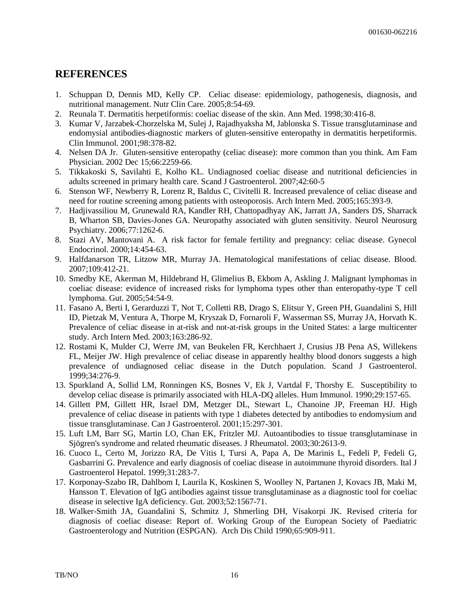#### **REFERENCES**

- 1. Schuppan D, Dennis MD, Kelly CP. Celiac disease: epidemiology, pathogenesis, diagnosis, and nutritional management. Nutr Clin Care. 2005;8:54-69.
- 2. Reunala T. Dermatitis herpetiformis: coeliac disease of the skin. Ann Med. 1998;30:416-8.
- 3. Kumar V, Jarzabek-Chorzelska M, Sulej J, Rajadhyaksha M, Jablonska S. Tissue transglutaminase and endomysial antibodies-diagnostic markers of gluten-sensitive enteropathy in dermatitis herpetiformis. Clin Immunol. 2001;98:378-82.
- 4. Nelsen DA Jr. Gluten-sensitive enteropathy (celiac disease): more common than you think. Am Fam Physician. 2002 Dec 15;66:2259-66.
- 5. Tikkakoski S, Savilahti E, Kolho KL. Undiagnosed coeliac disease and nutritional deficiencies in adults screened in primary health care. Scand J Gastroenterol. 2007;42:60-5
- 6. Stenson WF, Newberry R, Lorenz R, Baldus C, Civitelli R. Increased prevalence of celiac disease and need for routine screening among patients with osteoporosis. Arch Intern Med. 2005;165:393-9.
- 7. Hadjivassiliou M, Grunewald RA, Kandler RH, Chattopadhyay AK, Jarratt JA, Sanders DS, Sharrack B, Wharton SB, Davies-Jones GA. Neuropathy associated with gluten sensitivity. Neurol Neurosurg Psychiatry. 2006;77:1262-6.
- 8. Stazi AV, Mantovani A. A risk factor for female fertility and pregnancy: celiac disease. Gynecol Endocrinol. 2000;14:454-63.
- 9. Halfdanarson TR, Litzow MR, Murray JA. Hematological manifestations of celiac disease. Blood. 2007;109:412-21.
- 10. Smedby KE, Akerman M, Hildebrand H, Glimelius B, Ekbom A, Askling J. Malignant lymphomas in coeliac disease: evidence of increased risks for lymphoma types other than enteropathy-type T cell lymphoma. Gut. 2005;54:54-9.
- 11. Fasano A, Berti I, Gerarduzzi T, Not T, Colletti RB, Drago S, Elitsur Y, Green PH, Guandalini S, Hill ID, Pietzak M, Ventura A, Thorpe M, Kryszak D, Fornaroli F, Wasserman SS, Murray JA, Horvath K. Prevalence of celiac disease in at-risk and not-at-risk groups in the United States: a large multicenter study. Arch Intern Med. 2003;163:286-92.
- 12. Rostami K, Mulder CJ, Werre JM, van Beukelen FR, Kerchhaert J, Crusius JB Pena AS, Willekens FL, Meijer JW. High prevalence of celiac disease in apparently healthy blood donors suggests a high prevalence of undiagnosed celiac disease in the Dutch population. Scand J Gastroenterol. 1999;34:276-9.
- 13. Spurkland A, Sollid LM, Ronningen KS, Bosnes V, Ek J, Vartdal F, Thorsby E. Susceptibility to develop celiac disease is primarily associated with HLA-DQ alleles. Hum Immunol. 1990;29:157-65.
- 14. Gillett PM, Gillett HR, Israel DM, Metzger DL, Stewart L, Chanoine JP, Freeman HJ. High prevalence of celiac disease in patients with type 1 diabetes detected by antibodies to endomysium and tissue transglutaminase. Can J Gastroenterol. 2001;15:297-301.
- 15. Luft LM, Barr SG, Martin LO, Chan EK, Fritzler MJ. Autoantibodies to tissue transglutaminase in Sjögren's syndrome and related rheumatic diseases. J Rheumatol. 2003;30:2613-9.
- 16. Cuoco L, Certo M, Jorizzo RA, De Vitis I, Tursi A, Papa A, De Marinis L, Fedeli P, Fedeli G, Gasbarrini G. Prevalence and early diagnosis of coeliac disease in autoimmune thyroid disorders. Ital J Gastroenterol Hepatol. 1999;31:283-7.
- 17. Korponay-Szabo IR, Dahlbom I, Laurila K, Koskinen S, Woolley N, Partanen J, Kovacs JB, Maki M, Hansson T. Elevation of IgG antibodies against tissue transglutaminase as a diagnostic tool for coeliac disease in selective IgA deficiency. Gut. 2003;52:1567-71.
- 18. Walker-Smith JA, Guandalini S, Schmitz J, Shmerling DH, Visakorpi JK. Revised criteria for diagnosis of coeliac disease: Report of. Working Group of the European Society of Paediatric Gastroenterology and Nutrition (ESPGAN). Arch Dis Child 1990;65:909-911.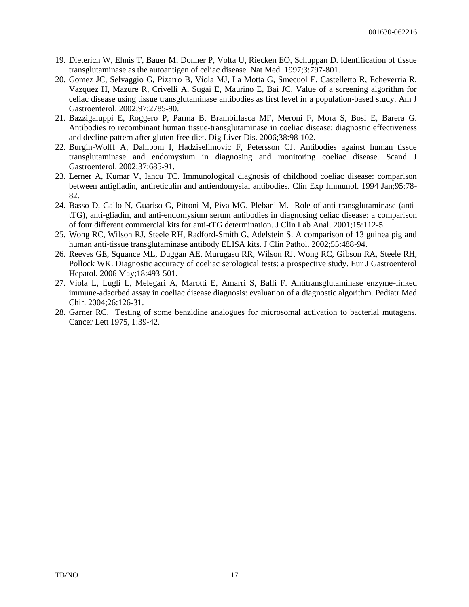- 19. Dieterich W, Ehnis T, Bauer M, Donner P, Volta U, Riecken EO, Schuppan D. Identification of tissue transglutaminase as the autoantigen of celiac disease. Nat Med. 1997;3:797-801.
- 20. Gomez JC, Selvaggio G, Pizarro B, Viola MJ, La Motta G, Smecuol E, Castelletto R, Echeverria R, Vazquez H, Mazure R, Crivelli A, Sugai E, Maurino E, Bai JC. Value of a screening algorithm for celiac disease using tissue transglutaminase antibodies as first level in a population-based study. Am J Gastroenterol. 2002;97:2785-90.
- 21. Bazzigaluppi E, Roggero P, Parma B, Brambillasca MF, Meroni F, Mora S, Bosi E, Barera G. Antibodies to recombinant human tissue-transglutaminase in coeliac disease: diagnostic effectiveness and decline pattern after gluten-free diet. Dig Liver Dis. 2006;38:98-102.
- 22. Burgin-Wolff A, Dahlbom I, Hadziselimovic F, Petersson CJ. Antibodies against human tissue transglutaminase and endomysium in diagnosing and monitoring coeliac disease. Scand J Gastroenterol. 2002;37:685-91.
- 23. Lerner A, Kumar V, Iancu TC. Immunological diagnosis of childhood coeliac disease: comparison between antigliadin, antireticulin and antiendomysial antibodies. Clin Exp Immunol. 1994 Jan;95:78- 82.
- 24. Basso D, Gallo N, Guariso G, Pittoni M, Piva MG, Plebani M. Role of anti-transglutaminase (antitTG), anti-gliadin, and anti-endomysium serum antibodies in diagnosing celiac disease: a comparison of four different commercial kits for anti-tTG determination. J Clin Lab Anal. 2001;15:112-5.
- 25. Wong RC, Wilson RJ, Steele RH, Radford-Smith G, Adelstein S. A comparison of 13 guinea pig and human anti-tissue transglutaminase antibody ELISA kits. J Clin Pathol. 2002;55:488-94.
- 26. Reeves GE, Squance ML, Duggan AE, Murugasu RR, Wilson RJ, Wong RC, Gibson RA, Steele RH, Pollock WK. Diagnostic accuracy of coeliac serological tests: a prospective study. Eur J Gastroenterol Hepatol. 2006 May;18:493-501.
- 27. Viola L, Lugli L, Melegari A, Marotti E, Amarri S, Balli F. Antitransglutaminase enzyme-linked immune-adsorbed assay in coeliac disease diagnosis: evaluation of a diagnostic algorithm. Pediatr Med Chir. 2004;26:126-31.
- 28. Garner RC. Testing of some benzidine analogues for microsomal activation to bacterial mutagens. Cancer Lett 1975, 1:39-42.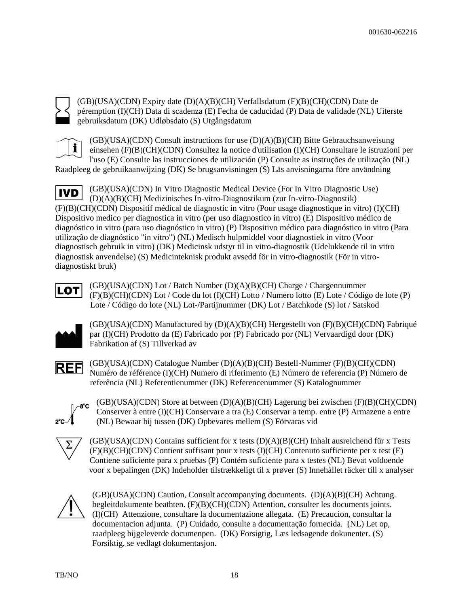(GB)(USA)(CDN) Expiry date (D)(A)(B)(CH) Verfallsdatum (F)(B)(CH)(CDN) Date de péremption (I)(CH) Data di scadenza (E) Fecha de caducidad (P) Data de validade (NL) Uiterste gebruiksdatum (DK) Udløbsdato (S) Utgångsdatum



 $(GB)(USA)(CDN)$  Consult instructions for use  $(D)(A)(B)(CH)$  Bitte Gebrauchsanweisung einsehen (F)(B)(CH)(CDN) Consultez la notice d'utilisation (I)(CH) Consultare le istruzioni per l'uso (E) Consulte las instrucciones de utilización (P) Consulte as instruções de utilização (NL)

Raadpleeg de gebruikaanwijzing (DK) Se brugsanvisningen (S) Läs anvisningarna före användning

(GB)(USA)(CDN) In Vitro Diagnostic Medical Device (For In Vitro Diagnostic Use) **IVD** (D)(A)(B)(CH) Medizinisches In-vitro-Diagnostikum (zur In-vitro-Diagnostik) (F)(B)(CH)(CDN) Dispositif médical de diagnostic in vitro (Pour usage diagnostique in vitro) (I)(CH) Dispositivo medico per diagnostica in vitro (per uso diagnostico in vitro) (E) Dispositivo médico de diagnóstico in vitro (para uso diagnóstico in vitro) (P) Dispositivo médico para diagnóstico in vitro (Para utilização de diagnóstico "in vitro") (NL) Medisch hulpmiddel voor diagnostiek in vitro (Voor diagnostisch gebruik in vitro) (DK) Medicinsk udstyr til in vitro-diagnostik (Udelukkende til in vitro diagnostisk anvendelse) (S) Medicinteknisk produkt avsedd för in vitro-diagnostik (För in vitrodiagnostiskt bruk)



(GB)(USA)(CDN) Lot / Batch Number (D)(A)(B)(CH) Charge / Chargennummer (F)(B)(CH)(CDN) Lot / Code du lot (I)(CH) Lotto / Numero lotto (E) Lote / Código de lote (P) Lote / Código do lote (NL) Lot-/Partijnummer (DK) Lot / Batchkode (S) lot / Satskod



(GB)(USA)(CDN) Manufactured by (D)(A)(B)(CH) Hergestellt von (F)(B)(CH)(CDN) Fabriqué par (I)(CH) Prodotto da (E) Fabricado por (P) Fabricado por (NL) Vervaardigd door (DK) Fabrikation af (S) Tillverkad av

**REF** 

(GB)(USA)(CDN) Catalogue Number (D)(A)(B)(CH) Bestell-Nummer (F)(B)(CH)(CDN) Numéro de référence (I)(CH) Numero di riferimento (E) Número de referencia (P) Número de referência (NL) Referentienummer (DK) Referencenummer (S) Katalognummer

-8°C

(GB)(USA)(CDN) Store at between (D)(A)(B)(CH) Lagerung bei zwischen (F)(B)(CH)(CDN) Conserver à entre (I)(CH) Conservare a tra (E) Conservar a temp. entre (P) Armazene a entre (NL) Bewaar bij tussen (DK) Opbevares mellem (S) Förvaras vid

(GB)(USA)(CDN) Contains sufficient for x tests (D)(A)(B)(CH) Inhalt ausreichend für x Tests (F)(B)(CH)(CDN) Contient suffisant pour x tests (I)(CH) Contenuto sufficiente per x test (E) Contiene suficiente para x pruebas (P) Contém suficiente para x testes (NL) Bevat voldoende voor x bepalingen (DK) Indeholder tilstrækkeligt til x prøver (S) Innehàllet räcker till x analyser



(GB)(USA)(CDN) Caution, Consult accompanying documents. (D)(A)(B)(CH) Achtung. begleitdokumente beathten. (F)(B)(CH)(CDN) Attention, consulter les documents joints. (I)(CH) Attenzione, consultare la documentazione allegata. (E) Precaucion, consultar la documentacion adjunta. (P) Cuidado, consulte a documentação fornecida. (NL) Let op, raadpleeg bijgeleverde documenpen. (DK) Forsigtig, Læs ledsagende dokunenter. (S) Forsiktig, se vedlagt dokumentasjon.